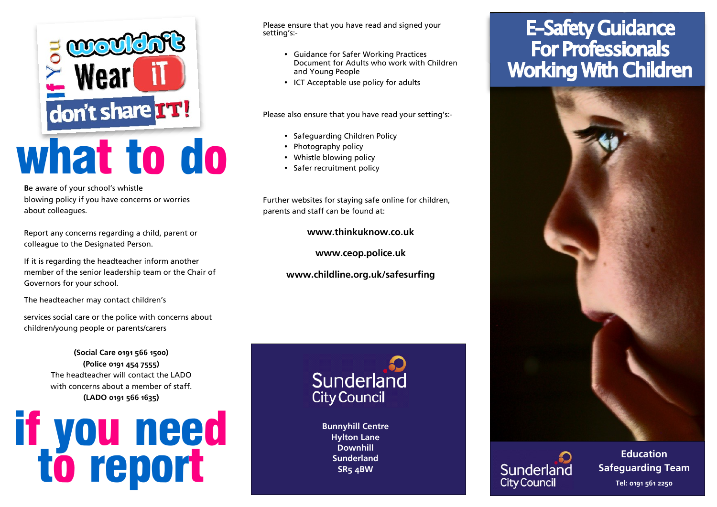

**B**e aware of your school's whistle blowing policy if you have concerns or worries about colleagues.

Report any concerns regarding a child, parent or colleague to the Designated Person.

If it is regarding the headteacher inform another member of the senior leadership team or the Chair of Governors for your school.

The headteacher may contact children's

services social care or the police with concerns about children/young people or parents/carers

> **(Social Care 0191 566 1500) (Police 0191 454 7555)** The headteacher will contact the LADO with concerns about a member of staff. **(LADO 0191 566 1635)**



Please ensure that you have read and signed your setting's:-

- **Guidance for Safer Working Practices** Document for Adults who work with Children and Young People
- ICT Acceptable use policy for adults

Please also ensure that you have read your setting's:-

- Safeguarding Children Policy
- Photography policy
- Whistle blowing policy
- Safer recruitment policy

Further websites for staying safe online for children, parents and staff can be found at:

**www.thinkuknow.co.uk**

**www.ceop.police.uk**

**www.childline.org.uk/safesurfing**



**Bunnyhill Centre Hylton Lane Downhill Sunderland**

# **E-Safety Guidance For Professionals Working With Children**





Sunderland Safeguarding Team 0191 561 2250 **Tel: 0191 561 2250 Education**